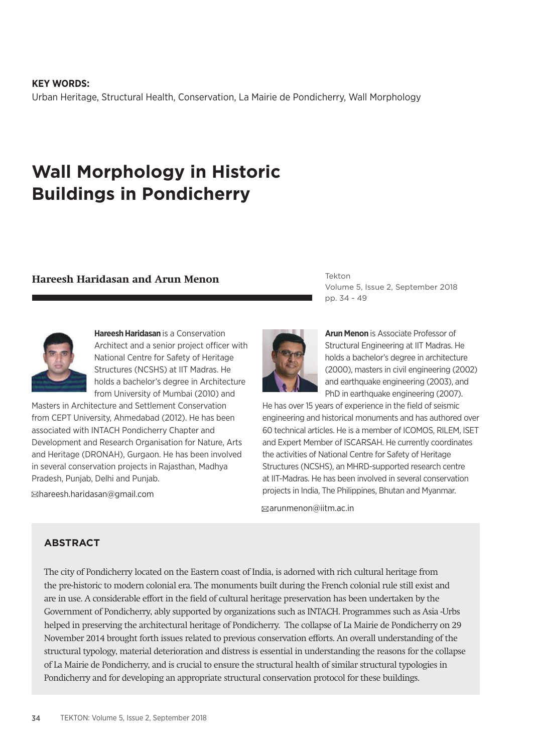34 TEKTON: Volume 5, Issue 2, September 2018

**KEY WORDS:** Urban Heritage, Structural Health, Conservation, La Mairie de Pondicherry, Wall Morphology

# **Wall Morphology in Historic Buildings in Pondicherry**

## **Hareesh Haridasan and Arun Menon**

Masters in Architecture and Settlement Conservation from CEPT University, Ahmedabad (2012). He has been associated with INTACH Pondicherry Chapter and Development and Research Organisation for Nature, Arts and Heritage (DRONAH), Gurgaon. He has been involved in several conservation projects in Rajasthan, Madhya Pradesh, Punjab, Delhi and Punjab.

hareesh.haridasan@gmail.com

Tekton Volume 5, Issue 2, September 2018 pp. 34 - 49

**Arun Menon** is Associate Professor of Structural Engineering at IIT Madras. He holds a bachelor's degree in architecture (2000), masters in civil engineering (2002) and earthquake engineering (2003), and PhD in earthquake engineering (2007).

He has over 15 years of experience in the field of seismic engineering and historical monuments and has authored over 60 technical articles. He is a member of ICOMOS, RILEM, ISET and Expert Member of ISCARSAH. He currently coordinates the activities of National Centre for Safety of Heritage Structures (NCSHS), an MHRD-supported research centre at IIT-Madras. He has been involved in several conservation projects in India, The Philippines, Bhutan and Myanmar.

arunmenon@iitm.ac.in

## **ABSTRACT**

The city of Pondicherry located on the Eastern coast of India, is adorned with rich cultural heritage from the pre-historic to modern colonial era. The monuments built during the French colonial rule still exist and are in use. A considerable effort in the field of cultural heritage preservation has been undertaken by the Government of Pondicherry, ably supported by organizations such as INTACH. Programmes such as Asia -Urbs helped in preserving the architectural heritage of Pondicherry. The collapse of La Mairie de Pondicherry on 29 November 2014 brought forth issues related to previous conservation efforts. An overall understanding of the structural typology, material deterioration and distress is essential in understanding the reasons for the collapse of La Mairie de Pondicherry, and is crucial to ensure the structural health of similar structural typologies in Pondicherry and for developing an appropriate structural conservation protocol for these buildings.



from University of Mumbai (2010) and

**Hareesh Haridasan** is a Conservation Architect and a senior project officer with National Centre for Safety of Heritage Structures (NCSHS) at IIT Madras. He holds a bachelor's degree in Architecture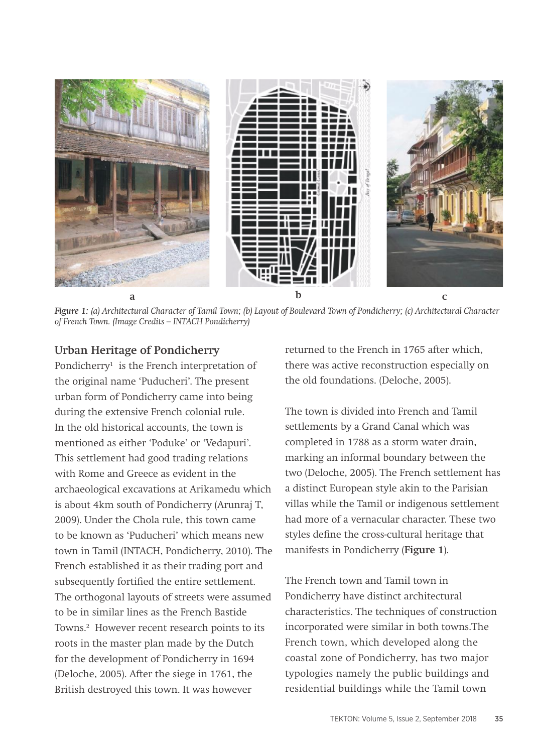

*Figure 1: (a) Architectural Character of Tamil Town; (b) Layout of Boulevard Town of Pondicherry; (c) Architectural Character of French Town. (Image Credits – INTACH Pondicherry)*

## **Urban Heritage of Pondicherry**

Pondicherry<sup>1</sup> is the French interpretation of the original name 'Puducheri'. The present urban form of Pondicherry came into being during the extensive French colonial rule. In the old historical accounts, the town is mentioned as either 'Poduke' or 'Vedapuri'. This settlement had good trading relations with Rome and Greece as evident in the archaeological excavations at Arikamedu which is about 4km south of Pondicherry (Arunraj T, 2009). Under the Chola rule, this town came to be known as 'Puducheri' which means new town in Tamil (INTACH, Pondicherry, 2010). The French established it as their trading port and subsequently fortified the entire settlement. The orthogonal layouts of streets were assumed to be in similar lines as the French Bastide Towns.2 However recent research points to its roots in the master plan made by the Dutch for the development of Pondicherry in 1694 (Deloche, 2005). After the siege in 1761, the British destroyed this town. It was however

returned to the French in 1765 after which, there was active reconstruction especially on the old foundations. (Deloche, 2005).

The town is divided into French and Tamil settlements by a Grand Canal which was completed in 1788 as a storm water drain, marking an informal boundary between the two (Deloche, 2005). The French settlement has a distinct European style akin to the Parisian villas while the Tamil or indigenous settlement had more of a vernacular character. These two styles define the cross-cultural heritage that manifests in Pondicherry (**Figure 1**).

The French town and Tamil town in Pondicherry have distinct architectural characteristics. The techniques of construction incorporated were similar in both towns.The French town, which developed along the coastal zone of Pondicherry, has two major typologies namely the public buildings and residential buildings while the Tamil town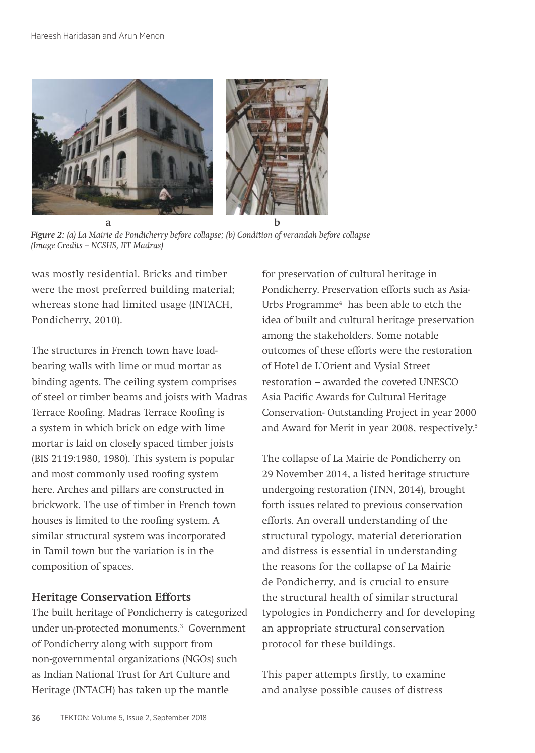

*Figure 2: (a) La Mairie de Pondicherry before collapse; (b) Condition of verandah before collapse (Image Credits – NCSHS, IIT Madras)*

was mostly residential. Bricks and timber were the most preferred building material; whereas stone had limited usage (INTACH, Pondicherry, 2010).

The structures in French town have loadbearing walls with lime or mud mortar as binding agents. The ceiling system comprises of steel or timber beams and joists with Madras Terrace Roofing. Madras Terrace Roofing is a system in which brick on edge with lime mortar is laid on closely spaced timber joists (BIS 2119:1980, 1980). This system is popular and most commonly used roofing system here. Arches and pillars are constructed in brickwork. The use of timber in French town houses is limited to the roofing system. A similar structural system was incorporated in Tamil town but the variation is in the composition of spaces.

## **Heritage Conservation Efforts**

The built heritage of Pondicherry is categorized under un-protected monuments.3 Government of Pondicherry along with support from non-governmental organizations (NGOs) such as Indian National Trust for Art Culture and Heritage (INTACH) has taken up the mantle

for preservation of cultural heritage in Pondicherry. Preservation efforts such as Asia-Urbs Programme4 has been able to etch the idea of built and cultural heritage preservation among the stakeholders. Some notable outcomes of these efforts were the restoration of Hotel de L`Orient and Vysial Street restoration – awarded the coveted UNESCO Asia Pacific Awards for Cultural Heritage Conservation- Outstanding Project in year 2000 and Award for Merit in year 2008, respectively.5

The collapse of La Mairie de Pondicherry on 29 November 2014, a listed heritage structure undergoing restoration (TNN, 2014), brought forth issues related to previous conservation efforts. An overall understanding of the structural typology, material deterioration and distress is essential in understanding the reasons for the collapse of La Mairie de Pondicherry, and is crucial to ensure the structural health of similar structural typologies in Pondicherry and for developing an appropriate structural conservation protocol for these buildings.

This paper attempts firstly, to examine and analyse possible causes of distress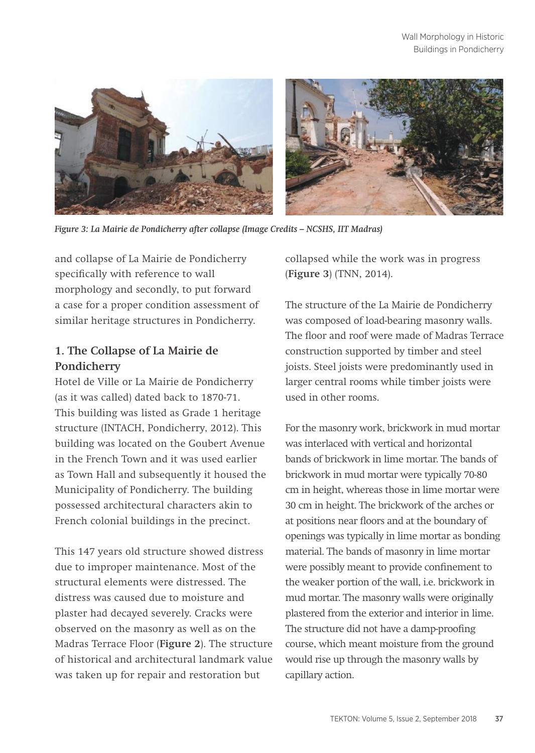

*Figure 3: La Mairie de Pondicherry after collapse (Image Credits – NCSHS, IIT Madras)*

and collapse of La Mairie de Pondicherry specifically with reference to wall morphology and secondly, to put forward a case for a proper condition assessment of similar heritage structures in Pondicherry.

## **1. The Collapse of La Mairie de Pondicherry**

Hotel de Ville or La Mairie de Pondicherry (as it was called) dated back to 1870-71. This building was listed as Grade 1 heritage structure (INTACH, Pondicherry, 2012). This building was located on the Goubert Avenue in the French Town and it was used earlier as Town Hall and subsequently it housed the Municipality of Pondicherry. The building possessed architectural characters akin to French colonial buildings in the precinct.

This 147 years old structure showed distress due to improper maintenance. Most of the structural elements were distressed. The distress was caused due to moisture and plaster had decayed severely. Cracks were observed on the masonry as well as on the Madras Terrace Floor (**Figure 2**). The structure of historical and architectural landmark value was taken up for repair and restoration but

collapsed while the work was in progress (**Figure 3**) (TNN, 2014).

The structure of the La Mairie de Pondicherry was composed of load-bearing masonry walls. The floor and roof were made of Madras Terrace construction supported by timber and steel joists. Steel joists were predominantly used in larger central rooms while timber joists were used in other rooms.

For the masonry work, brickwork in mud mortar was interlaced with vertical and horizontal bands of brickwork in lime mortar. The bands of brickwork in mud mortar were typically 70-80 cm in height, whereas those in lime mortar were 30 cm in height. The brickwork of the arches or at positions near floors and at the boundary of openings was typically in lime mortar as bonding material. The bands of masonry in lime mortar were possibly meant to provide confinement to the weaker portion of the wall, i.e. brickwork in mud mortar. The masonry walls were originally plastered from the exterior and interior in lime. The structure did not have a damp-proofing course, which meant moisture from the ground would rise up through the masonry walls by capillary action.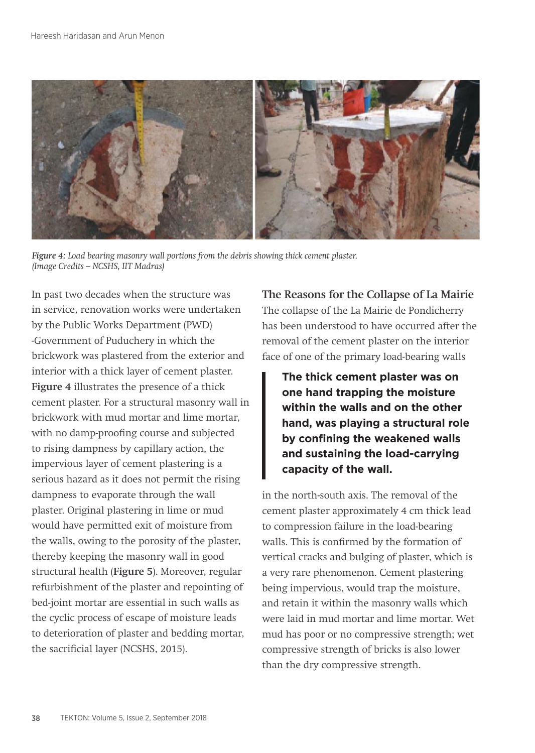

*Figure 4: Load bearing masonry wall portions from the debris showing thick cement plaster. (Image Credits – NCSHS, IIT Madras)*

In past two decades when the structure was in service, renovation works were undertaken by the Public Works Department (PWD) -Government of Puduchery in which the brickwork was plastered from the exterior and interior with a thick layer of cement plaster. **Figure 4** illustrates the presence of a thick cement plaster. For a structural masonry wall in brickwork with mud mortar and lime mortar, with no damp-proofing course and subjected to rising dampness by capillary action, the impervious layer of cement plastering is a serious hazard as it does not permit the rising dampness to evaporate through the wall plaster. Original plastering in lime or mud would have permitted exit of moisture from the walls, owing to the porosity of the plaster, thereby keeping the masonry wall in good structural health (**Figure 5**). Moreover, regular refurbishment of the plaster and repointing of bed-joint mortar are essential in such walls as the cyclic process of escape of moisture leads to deterioration of plaster and bedding mortar, the sacrificial layer (NCSHS, 2015).

**The Reasons for the Collapse of La Mairie** The collapse of the La Mairie de Pondicherry has been understood to have occurred after the removal of the cement plaster on the interior face of one of the primary load-bearing walls

**The thick cement plaster was on one hand trapping the moisture within the walls and on the other hand, was playing a structural role by confining the weakened walls and sustaining the load-carrying capacity of the wall.**

in the north-south axis. The removal of the cement plaster approximately 4 cm thick lead to compression failure in the load-bearing walls. This is confirmed by the formation of vertical cracks and bulging of plaster, which is a very rare phenomenon. Cement plastering being impervious, would trap the moisture, and retain it within the masonry walls which were laid in mud mortar and lime mortar. Wet mud has poor or no compressive strength; wet compressive strength of bricks is also lower than the dry compressive strength.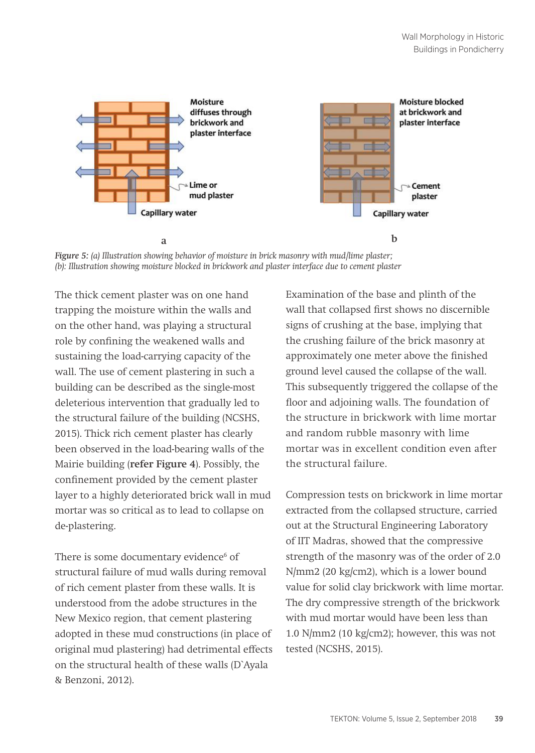

*Figure 5: (a) Illustration showing behavior of moisture in brick masonry with mud/lime plaster; (b): Illustration showing moisture blocked in brickwork and plaster interface due to cement plaster*

The thick cement plaster was on one hand trapping the moisture within the walls and on the other hand, was playing a structural role by confining the weakened walls and sustaining the load-carrying capacity of the wall. The use of cement plastering in such a building can be described as the single-most deleterious intervention that gradually led to the structural failure of the building (NCSHS, 2015). Thick rich cement plaster has clearly been observed in the load-bearing walls of the Mairie building (**refer Figure 4**). Possibly, the confinement provided by the cement plaster layer to a highly deteriorated brick wall in mud mortar was so critical as to lead to collapse on de-plastering.

There is some documentary evidence<sup>6</sup> of structural failure of mud walls during removal of rich cement plaster from these walls. It is understood from the adobe structures in the New Mexico region, that cement plastering adopted in these mud constructions (in place of original mud plastering) had detrimental effects on the structural health of these walls (D`Ayala & Benzoni, 2012).

Examination of the base and plinth of the wall that collapsed first shows no discernible signs of crushing at the base, implying that the crushing failure of the brick masonry at approximately one meter above the finished ground level caused the collapse of the wall. This subsequently triggered the collapse of the floor and adjoining walls. The foundation of the structure in brickwork with lime mortar and random rubble masonry with lime mortar was in excellent condition even after the structural failure.

Compression tests on brickwork in lime mortar extracted from the collapsed structure, carried out at the Structural Engineering Laboratory of IIT Madras, showed that the compressive strength of the masonry was of the order of 2.0 N/mm2 (20 kg/cm2), which is a lower bound value for solid clay brickwork with lime mortar. The dry compressive strength of the brickwork with mud mortar would have been less than 1.0 N/mm2 (10 kg/cm2); however, this was not tested (NCSHS, 2015).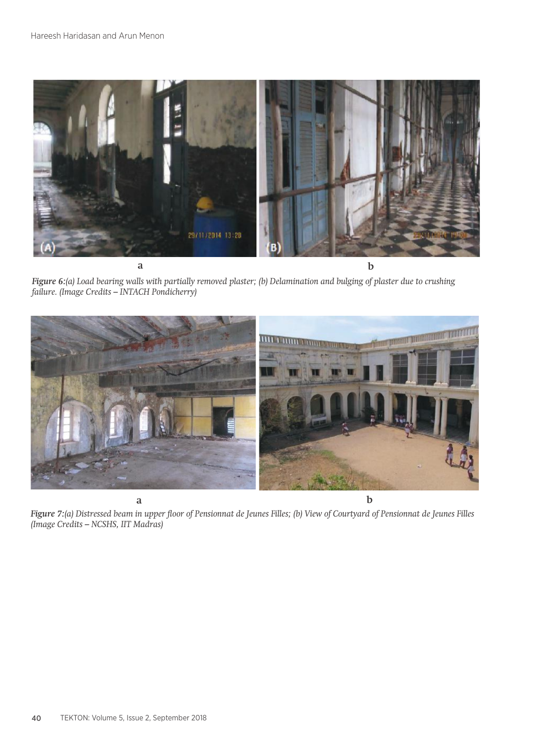

*Figure 6:(a) Load bearing walls with partially removed plaster; (b) Delamination and bulging of plaster due to crushing failure. (Image Credits – INTACH Pondicherry)* 



*Figure 7:(a) Distressed beam in upper floor of Pensionnat de Jeunes Filles; (b) View of Courtyard of Pensionnat de Jeunes Filles (Image Credits – NCSHS, IIT Madras)*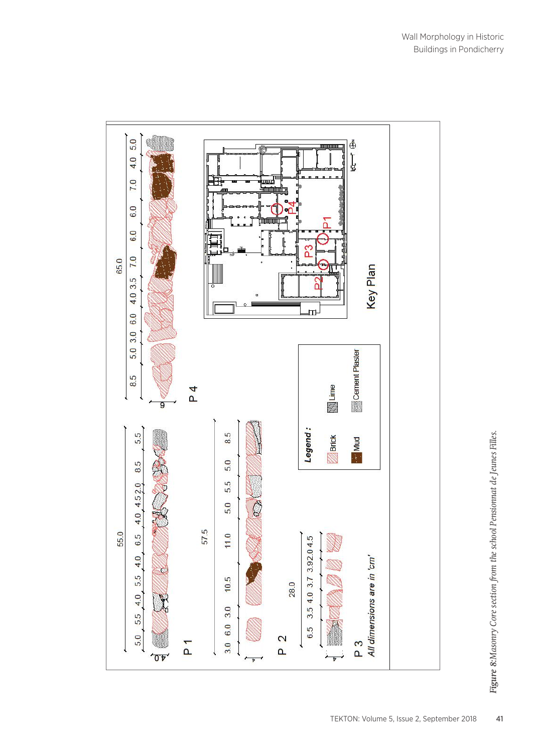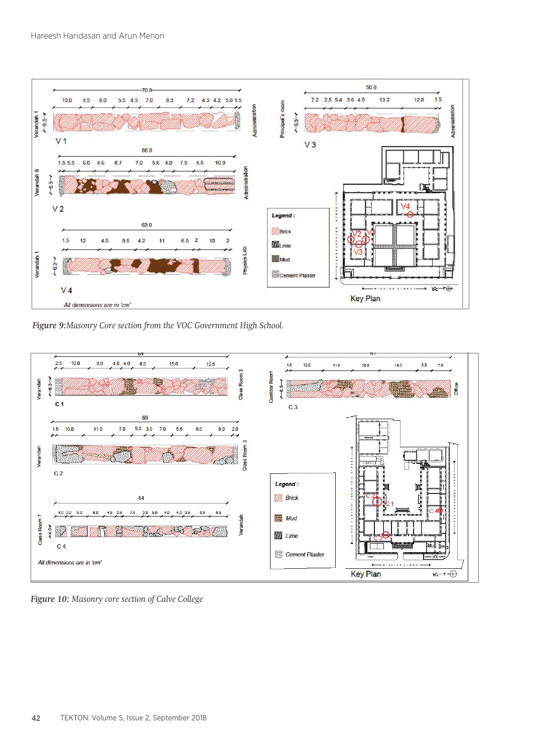

*Figure 9:Masonry Core section from the VOC Government High School.*



*Figure 10: Masonry core section of Calve College*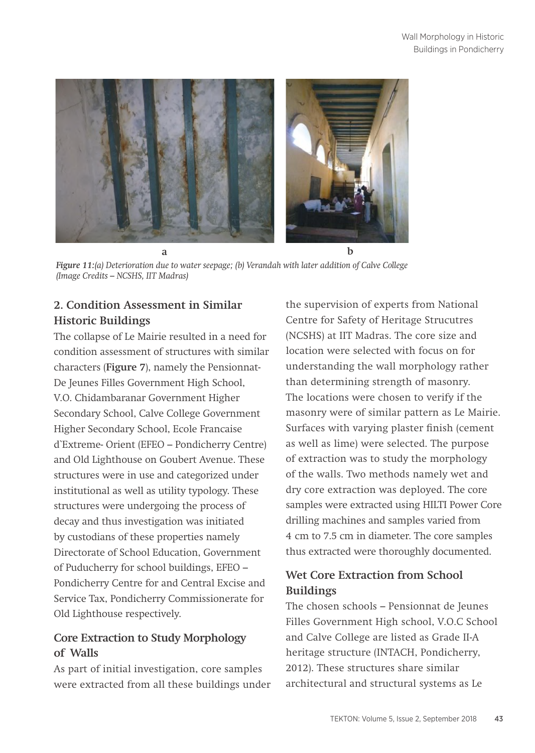

*Figure 11:(a) Deterioration due to water seepage; (b) Verandah with later addition of Calve College (Image Credits – NCSHS, IIT Madras)*

# **2. Condition Assessment in Similar Historic Buildings**

The collapse of Le Mairie resulted in a need for condition assessment of structures with similar characters (**Figure 7**), namely the Pensionnat-De Jeunes Filles Government High School, V.O. Chidambaranar Government Higher Secondary School, Calve College Government Higher Secondary School, Ecole Francaise d`Extreme- Orient (EFEO – Pondicherry Centre) and Old Lighthouse on Goubert Avenue. These structures were in use and categorized under institutional as well as utility typology. These structures were undergoing the process of decay and thus investigation was initiated by custodians of these properties namely Directorate of School Education, Government of Puducherry for school buildings, EFEO – Pondicherry Centre for and Central Excise and Service Tax, Pondicherry Commissionerate for Old Lighthouse respectively.

# **Core Extraction to Study Morphology of Walls**

As part of initial investigation, core samples were extracted from all these buildings under the supervision of experts from National Centre for Safety of Heritage Strucutres (NCSHS) at IIT Madras. The core size and location were selected with focus on for understanding the wall morphology rather than determining strength of masonry. The locations were chosen to verify if the masonry were of similar pattern as Le Mairie. Surfaces with varying plaster finish (cement as well as lime) were selected. The purpose of extraction was to study the morphology of the walls. Two methods namely wet and dry core extraction was deployed. The core samples were extracted using HILTI Power Core drilling machines and samples varied from 4 cm to 7.5 cm in diameter. The core samples thus extracted were thoroughly documented.

# **Wet Core Extraction from School Buildings**

The chosen schools – Pensionnat de Jeunes Filles Government High school, V.O.C School and Calve College are listed as Grade II-A heritage structure (INTACH, Pondicherry, 2012). These structures share similar architectural and structural systems as Le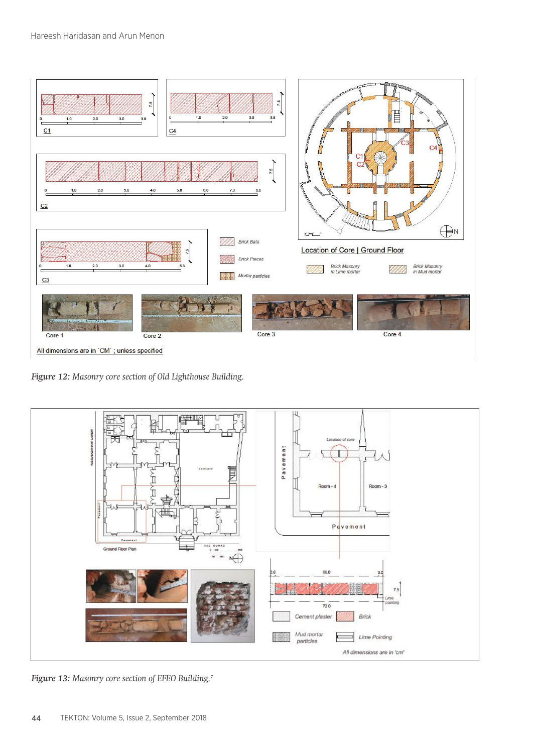

*Figure 12: Masonry core section of Old Lighthouse Building.*

![](_page_10_Figure_3.jpeg)

*Figure 13: Masonry core section of EFEO Building.7*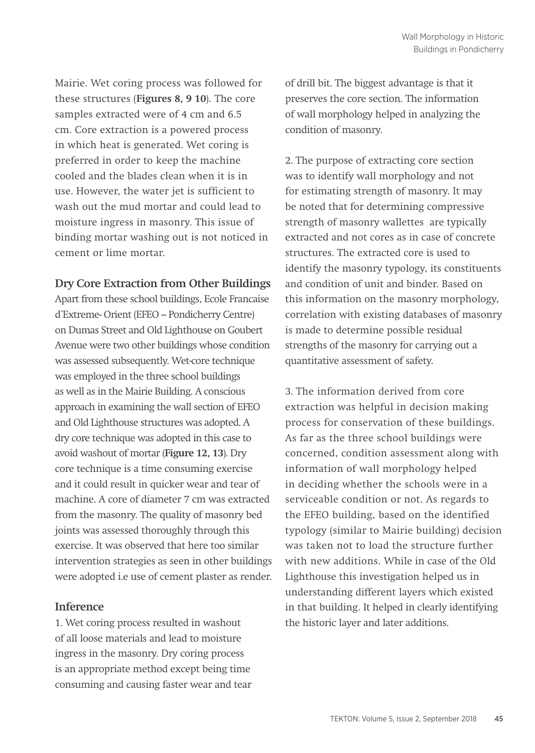Mairie. Wet coring process was followed for these structures (**Figures 8, 9 10**). The core samples extracted were of 4 cm and 6.5 cm. Core extraction is a powered process in which heat is generated. Wet coring is preferred in order to keep the machine cooled and the blades clean when it is in use. However, the water jet is sufficient to wash out the mud mortar and could lead to moisture ingress in masonry. This issue of binding mortar washing out is not noticed in cement or lime mortar.

#### **Dry Core Extraction from Other Buildings**

Apart from these school buildings, Ecole Francaise d`Extreme- Orient (EFEO – Pondicherry Centre) on Dumas Street and Old Lighthouse on Goubert Avenue were two other buildings whose condition was assessed subsequently. Wet-core technique was employed in the three school buildings as well as in the Mairie Building. A conscious approach in examining the wall section of EFEO and Old Lighthouse structures was adopted. A dry core technique was adopted in this case to avoid washout of mortar (**Figure 12, 13**). Dry core technique is a time consuming exercise and it could result in quicker wear and tear of machine. A core of diameter 7 cm was extracted from the masonry. The quality of masonry bed joints was assessed thoroughly through this exercise. It was observed that here too similar intervention strategies as seen in other buildings were adopted i.e use of cement plaster as render.

#### **Inference**

1. Wet coring process resulted in washout of all loose materials and lead to moisture ingress in the masonry. Dry coring process is an appropriate method except being time consuming and causing faster wear and tear of drill bit. The biggest advantage is that it preserves the core section. The information of wall morphology helped in analyzing the condition of masonry.

2. The purpose of extracting core section was to identify wall morphology and not for estimating strength of masonry. It may be noted that for determining compressive strength of masonry wallettes are typically extracted and not cores as in case of concrete structures. The extracted core is used to identify the masonry typology, its constituents and condition of unit and binder. Based on this information on the masonry morphology, correlation with existing databases of masonry is made to determine possible residual strengths of the masonry for carrying out a quantitative assessment of safety.

3. The information derived from core extraction was helpful in decision making process for conservation of these buildings. As far as the three school buildings were concerned, condition assessment along with information of wall morphology helped in deciding whether the schools were in a serviceable condition or not. As regards to the EFEO building, based on the identified typology (similar to Mairie building) decision was taken not to load the structure further with new additions. While in case of the Old Lighthouse this investigation helped us in understanding different layers which existed in that building. It helped in clearly identifying the historic layer and later additions.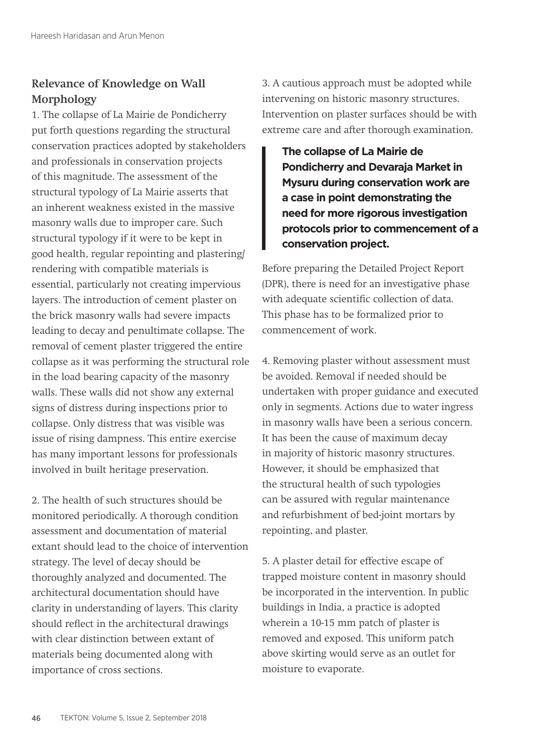# **Relevance of Knowledge on Wall Morphology**

1. The collapse of La Mairie de Pondicherry put forth questions regarding the structural conservation practices adopted by stakeholders and professionals in conservation projects of this magnitude. The assessment of the structural typology of La Mairie asserts that an inherent weakness existed in the massive masonry walls due to improper care. Such structural typology if it were to be kept in good health, regular repointing and plastering/ rendering with compatible materials is essential, particularly not creating impervious layers. The introduction of cement plaster on the brick masonry walls had severe impacts leading to decay and penultimate collapse. The removal of cement plaster triggered the entire collapse as it was performing the structural role in the load bearing capacity of the masonry walls. These walls did not show any external signs of distress during inspections prior to collapse. Only distress that was visible was issue of rising dampness. This entire exercise has many important lessons for professionals involved in built heritage preservation.

2. The health of such structures should be monitored periodically. A thorough condition assessment and documentation of material extant should lead to the choice of intervention strategy. The level of decay should be thoroughly analyzed and documented. The architectural documentation should have clarity in understanding of layers. This clarity should reflect in the architectural drawings with clear distinction between extant of materials being documented along with importance of cross sections.

3. A cautious approach must be adopted while intervening on historic masonry structures. Intervention on plaster surfaces should be with extreme care and after thorough examination.

**The collapse of La Mairie de Pondicherry and Devaraja Market in Mysuru during conservation work are a case in point demonstrating the need for more rigorous investigation protocols prior to commencement of a conservation project.**

Before preparing the Detailed Project Report (DPR), there is need for an investigative phase with adequate scientific collection of data. This phase has to be formalized prior to commencement of work.

4. Removing plaster without assessment must be avoided. Removal if needed should be undertaken with proper guidance and executed only in segments. Actions due to water ingress in masonry walls have been a serious concern. It has been the cause of maximum decay in majority of historic masonry structures. However, it should be emphasized that the structural health of such typologies can be assured with regular maintenance and refurbishment of bed-joint mortars by repointing, and plaster.

5. A plaster detail for effective escape of trapped moisture content in masonry should be incorporated in the intervention. In public buildings in India, a practice is adopted wherein a 10-15 mm patch of plaster is removed and exposed. This uniform patch above skirting would serve as an outlet for moisture to evaporate.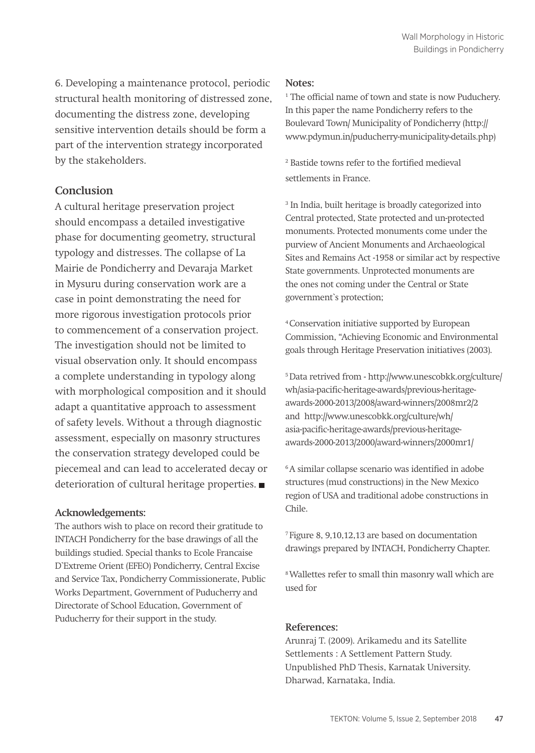6. Developing a maintenance protocol, periodic structural health monitoring of distressed zone, documenting the distress zone, developing sensitive intervention details should be form a part of the intervention strategy incorporated by the stakeholders.

### **Conclusion**

A cultural heritage preservation project should encompass a detailed investigative phase for documenting geometry, structural typology and distresses. The collapse of La Mairie de Pondicherry and Devaraja Market in Mysuru during conservation work are a case in point demonstrating the need for more rigorous investigation protocols prior to commencement of a conservation project. The investigation should not be limited to visual observation only. It should encompass a complete understanding in typology along with morphological composition and it should adapt a quantitative approach to assessment of safety levels. Without a through diagnostic assessment, especially on masonry structures the conservation strategy developed could be piecemeal and can lead to accelerated decay or deterioration of cultural heritage properties.

#### **Acknowledgements:**

The authors wish to place on record their gratitude to INTACH Pondicherry for the base drawings of all the buildings studied. Special thanks to Ecole Francaise D`Extreme Orient (EFEO) Pondicherry, Central Excise and Service Tax, Pondicherry Commissionerate, Public Works Department, Government of Puducherry and Directorate of School Education, Government of Puducherry for their support in the study.

#### **Notes:**

1 The official name of town and state is now Puduchery. In this paper the name Pondicherry refers to the Boulevard Town/ Municipality of Pondicherry (http:// www.pdymun.in/puducherry-municipality-details.php)

2 Bastide towns refer to the fortified medieval settlements in France.

3 In India, built heritage is broadly categorized into Central protected, State protected and un-protected monuments. Protected monuments come under the purview of Ancient Monuments and Archaeological Sites and Remains Act -1958 or similar act by respective State governments. Unprotected monuments are the ones not coming under the Central or State government`s protection;

4 Conservation initiative supported by European Commission, "Achieving Economic and Environmental goals through Heritage Preservation initiatives (2003).

5 Data retrived from - http://www.unescobkk.org/culture/ wh/asia-pacific-heritage-awards/previous-heritageawards-2000-2013/2008/award-winners/2008mr2/2 and http://www.unescobkk.org/culture/wh/ asia-pacific-heritage-awards/previous-heritageawards-2000-2013/2000/award-winners/2000mr1/

6 A similar collapse scenario was identified in adobe structures (mud constructions) in the New Mexico region of USA and traditional adobe constructions in Chile.

7 Figure 8, 9,10,12,13 are based on documentation drawings prepared by INTACH, Pondicherry Chapter.

8 Wallettes refer to small thin masonry wall which are used for

#### **References:**

Arunraj T. (2009). Arikamedu and its Satellite Settlements : A Settlement Pattern Study. Unpublished PhD Thesis, Karnatak University. Dharwad, Karnataka, India.